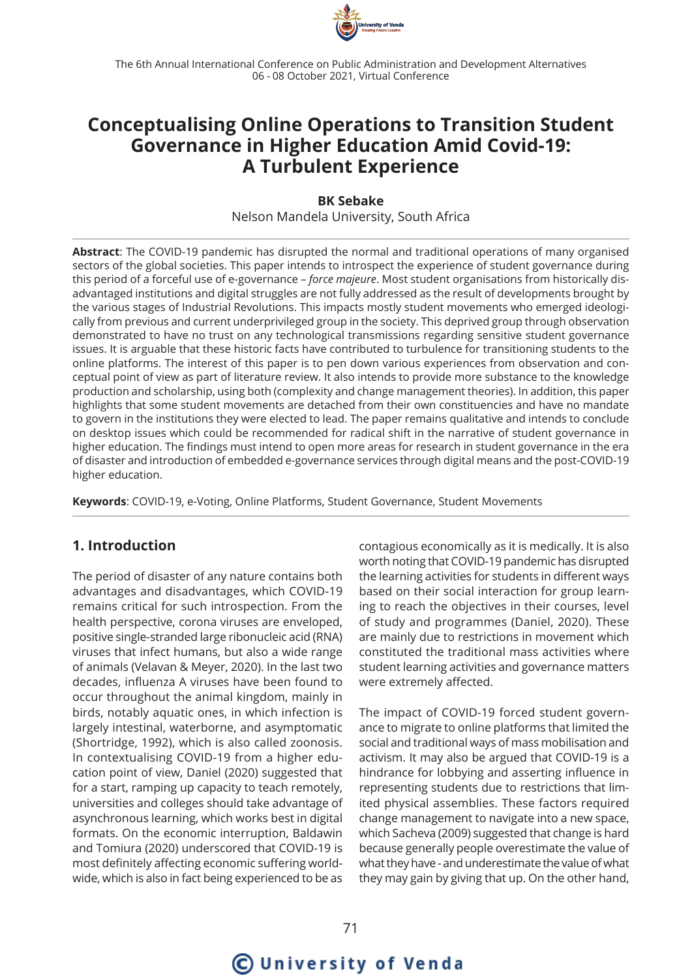

The 6th Annual International Conference on Public Administration and Development Alternatives 06 - 08 October 2021, Virtual Conference

## **Conceptualising Online Operations to Transition Student Governance in Higher Education Amid Covid-19: A Turbulent Experience**

**BK Sebake** Nelson Mandela University, South Africa

**Abstract**: The COVID-19 pandemic has disrupted the normal and traditional operations of many organised sectors of the global societies. This paper intends to introspect the experience of student governance during this period of a forceful use of e-governance – *force majeure*. Most student organisations from historically disadvantaged institutions and digital struggles are not fully addressed as the result of developments brought by the various stages of Industrial Revolutions. This impacts mostly student movements who emerged ideologically from previous and current underprivileged group in the society. This deprived group through observation demonstrated to have no trust on any technological transmissions regarding sensitive student governance issues. It is arguable that these historic facts have contributed to turbulence for transitioning students to the online platforms. The interest of this paper is to pen down various experiences from observation and conceptual point of view as part of literature review. It also intends to provide more substance to the knowledge production and scholarship, using both (complexity and change management theories). In addition, this paper highlights that some student movements are detached from their own constituencies and have no mandate to govern in the institutions they were elected to lead. The paper remains qualitative and intends to conclude on desktop issues which could be recommended for radical shift in the narrative of student governance in higher education. The findings must intend to open more areas for research in student governance in the era of disaster and introduction of embedded e-governance services through digital means and the post-COVID-19 higher education.

**Keywords**: COVID-19, e-Voting, Online Platforms, Student Governance, Student Movements

#### **1. Introduction**

The period of disaster of any nature contains both advantages and disadvantages, which COVID-19 remains critical for such introspection. From the health perspective, corona viruses are enveloped, positive single-stranded large ribonucleic acid (RNA) viruses that infect humans, but also a wide range of animals (Velavan & Meyer, 2020). In the last two decades, influenza A viruses have been found to occur throughout the animal kingdom, mainly in birds, notably aquatic ones, in which infection is largely intestinal, waterborne, and asymptomatic (Shortridge, 1992), which is also called zoonosis. In contextualising COVID-19 from a higher education point of view, Daniel (2020) suggested that for a start, ramping up capacity to teach remotely, universities and colleges should take advantage of asynchronous learning, which works best in digital formats. On the economic interruption, Baldawin and Tomiura (2020) underscored that COVID-19 is most definitely affecting economic suffering worldwide, which is also in fact being experienced to be as

contagious economically as it is medically. It is also worth noting that COVID-19 pandemic has disrupted the learning activities for students in different ways based on their social interaction for group learning to reach the objectives in their courses, level of study and programmes (Daniel, 2020). These are mainly due to restrictions in movement which constituted the traditional mass activities where student learning activities and governance matters were extremely affected.

The impact of COVID-19 forced student governance to migrate to online platforms that limited the social and traditional ways of mass mobilisation and activism. It may also be argued that COVID-19 is a hindrance for lobbying and asserting influence in representing students due to restrictions that limited physical assemblies. These factors required change management to navigate into a new space, which Sacheva (2009) suggested that change is hard because generally people overestimate the value of what they have - and underestimate the value of what they may gain by giving that up. On the other hand,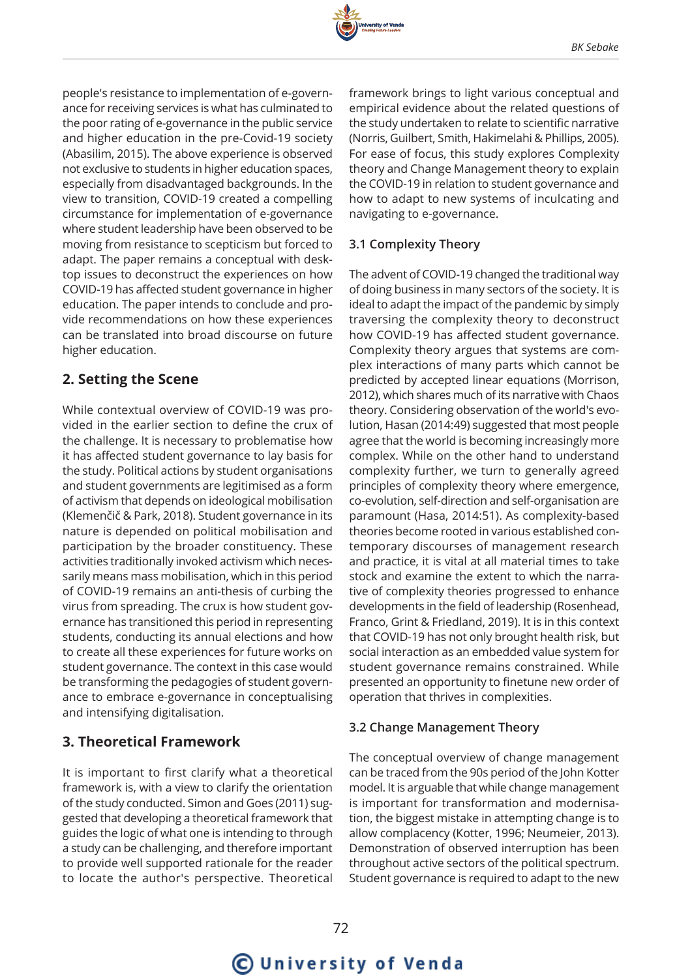

people's resistance to implementation of e-governance for receiving services is what has culminated to the poor rating of e-governance in the public service and higher education in the pre-Covid-19 society (Abasilim, 2015). The above experience is observed not exclusive to students in higher education spaces, especially from disadvantaged backgrounds. In the view to transition, COVID-19 created a compelling circumstance for implementation of e-governance where student leadership have been observed to be moving from resistance to scepticism but forced to adapt. The paper remains a conceptual with desktop issues to deconstruct the experiences on how COVID-19 has affected student governance in higher education. The paper intends to conclude and provide recommendations on how these experiences can be translated into broad discourse on future higher education.

## **2. Setting the Scene**

While contextual overview of COVID-19 was provided in the earlier section to define the crux of the challenge. It is necessary to problematise how it has affected student governance to lay basis for the study. Political actions by student organisations and student governments are legitimised as a form of activism that depends on ideological mobilisation (Klemenčič & Park, 2018). Student governance in its nature is depended on political mobilisation and participation by the broader constituency. These activities traditionally invoked activism which necessarily means mass mobilisation, which in this period of COVID-19 remains an anti-thesis of curbing the virus from spreading. The crux is how student governance has transitioned this period in representing students, conducting its annual elections and how to create all these experiences for future works on student governance. The context in this case would be transforming the pedagogies of student governance to embrace e-governance in conceptualising and intensifying digitalisation.

## **3. Theoretical Framework**

It is important to first clarify what a theoretical framework is, with a view to clarify the orientation of the study conducted. Simon and Goes (2011) suggested that developing a theoretical framework that guides the logic of what one is intending to through a study can be challenging, and therefore important to provide well supported rationale for the reader to locate the author's perspective. Theoretical

framework brings to light various conceptual and empirical evidence about the related questions of the study undertaken to relate to scientific narrative (Norris, Guilbert, Smith, Hakimelahi & Phillips, 2005). For ease of focus, this study explores Complexity theory and Change Management theory to explain the COVID-19 in relation to student governance and how to adapt to new systems of inculcating and navigating to e-governance.

#### **3.1 Complexity Theory**

The advent of COVID-19 changed the traditional way of doing business in many sectors of the society. It is ideal to adapt the impact of the pandemic by simply traversing the complexity theory to deconstruct how COVID-19 has affected student governance. Complexity theory argues that systems are complex interactions of many parts which cannot be predicted by accepted linear equations (Morrison, 2012), which shares much of its narrative with Chaos theory. Considering observation of the world's evolution, Hasan (2014:49) suggested that most people agree that the world is becoming increasingly more complex. While on the other hand to understand complexity further, we turn to generally agreed principles of complexity theory where emergence, co-evolution, self-direction and self-organisation are paramount (Hasa, 2014:51). As complexity-based theories become rooted in various established contemporary discourses of management research and practice, it is vital at all material times to take stock and examine the extent to which the narrative of complexity theories progressed to enhance developments in the field of leadership (Rosenhead, Franco, Grint & Friedland, 2019). It is in this context that COVID-19 has not only brought health risk, but social interaction as an embedded value system for student governance remains constrained. While presented an opportunity to finetune new order of operation that thrives in complexities.

#### **3.2 Change Management Theory**

The conceptual overview of change management can be traced from the 90s period of the John Kotter model. It is arguable that while change management is important for transformation and modernisation, the biggest mistake in attempting change is to allow complacency (Kotter, 1996; Neumeier, 2013). Demonstration of observed interruption has been throughout active sectors of the political spectrum. Student governance is required to adapt to the new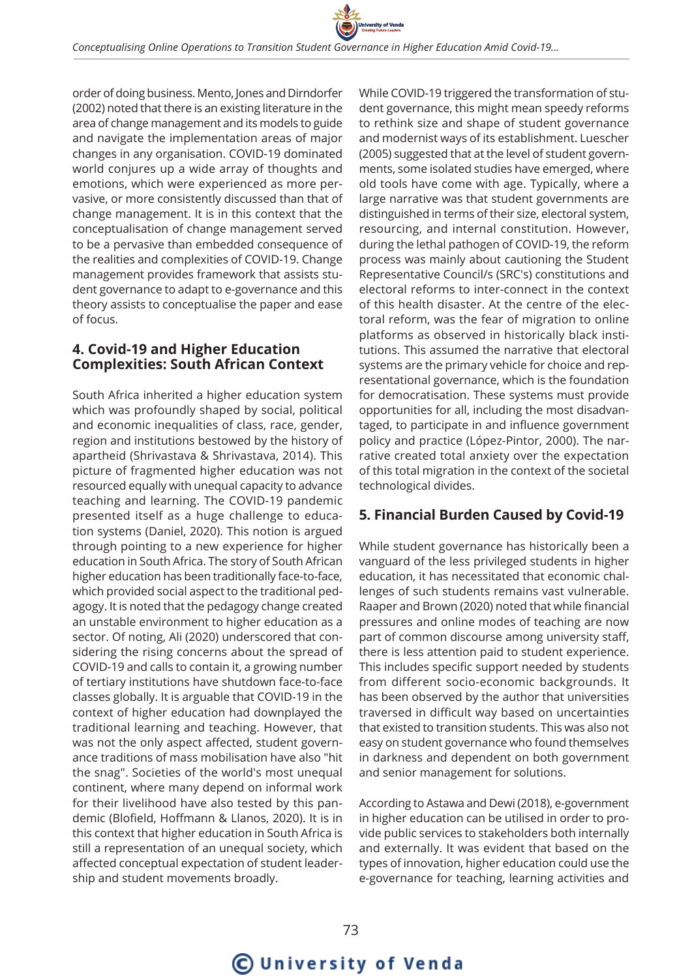order of doing business. Mento, Jones and Dirndorfer (2002) noted that there is an existing literature in the area of change management and its models to guide and navigate the implementation areas of major changes in any organisation. COVID-19 dominated world conjures up a wide array of thoughts and emotions, which were experienced as more pervasive, or more consistently discussed than that of change management. It is in this context that the conceptualisation of change management served to be a pervasive than embedded consequence of the realities and complexities of COVID-19. Change management provides framework that assists student governance to adapt to e-governance and this theory assists to conceptualise the paper and ease of focus.

## **4. Covid-19 and Higher Education Complexities: South African Context**

South Africa inherited a higher education system which was profoundly shaped by social, political and economic inequalities of class, race, gender, region and institutions bestowed by the history of apartheid (Shrivastava & Shrivastava, 2014). This picture of fragmented higher education was not resourced equally with unequal capacity to advance teaching and learning. The COVID-19 pandemic presented itself as a huge challenge to education systems (Daniel, 2020). This notion is argued through pointing to a new experience for higher education in South Africa. The story of South African higher education has been traditionally face-to-face, which provided social aspect to the traditional pedagogy. It is noted that the pedagogy change created an unstable environment to higher education as a sector. Of noting, Ali (2020) underscored that considering the rising concerns about the spread of COVID-19 and calls to contain it, a growing number of tertiary institutions have shutdown face-to-face classes globally. It is arguable that COVID-19 in the context of higher education had downplayed the traditional learning and teaching. However, that was not the only aspect affected, student governance traditions of mass mobilisation have also "hit the snag". Societies of the world's most unequal continent, where many depend on informal work for their livelihood have also tested by this pandemic (Blofield, Hoffmann & Llanos, 2020). It is in this context that higher education in South Africa is still a representation of an unequal society, which affected conceptual expectation of student leadership and student movements broadly.

While COVID-19 triggered the transformation of student governance, this might mean speedy reforms to rethink size and shape of student governance and modernist ways of its establishment. Luescher (2005) suggested that at the level of student governments, some isolated studies have emerged, where old tools have come with age. Typically, where a large narrative was that student governments are distinguished in terms of their size, electoral system, resourcing, and internal constitution. However, during the lethal pathogen of COVID-19, the reform process was mainly about cautioning the Student Representative Council/s (SRC's) constitutions and electoral reforms to inter-connect in the context of this health disaster. At the centre of the electoral reform, was the fear of migration to online platforms as observed in historically black institutions. This assumed the narrative that electoral systems are the primary vehicle for choice and representational governance, which is the foundation for democratisation. These systems must provide opportunities for all, including the most disadvantaged, to participate in and influence government policy and practice (López-Pintor, 2000). The narrative created total anxiety over the expectation of this total migration in the context of the societal technological divides.

## **5. Financial Burden Caused by Covid-19**

While student governance has historically been a vanguard of the less privileged students in higher education, it has necessitated that economic challenges of such students remains vast vulnerable. Raaper and Brown (2020) noted that while financial pressures and online modes of teaching are now part of common discourse among university staff, there is less attention paid to student experience. This includes specific support needed by students from different socio-economic backgrounds. It has been observed by the author that universities traversed in difficult way based on uncertainties that existed to transition students. This was also not easy on student governance who found themselves in darkness and dependent on both government and senior management for solutions.

According to Astawa and Dewi (2018), e-government in higher education can be utilised in order to provide public services to stakeholders both internally and externally. It was evident that based on the types of innovation, higher education could use the e-governance for teaching, learning activities and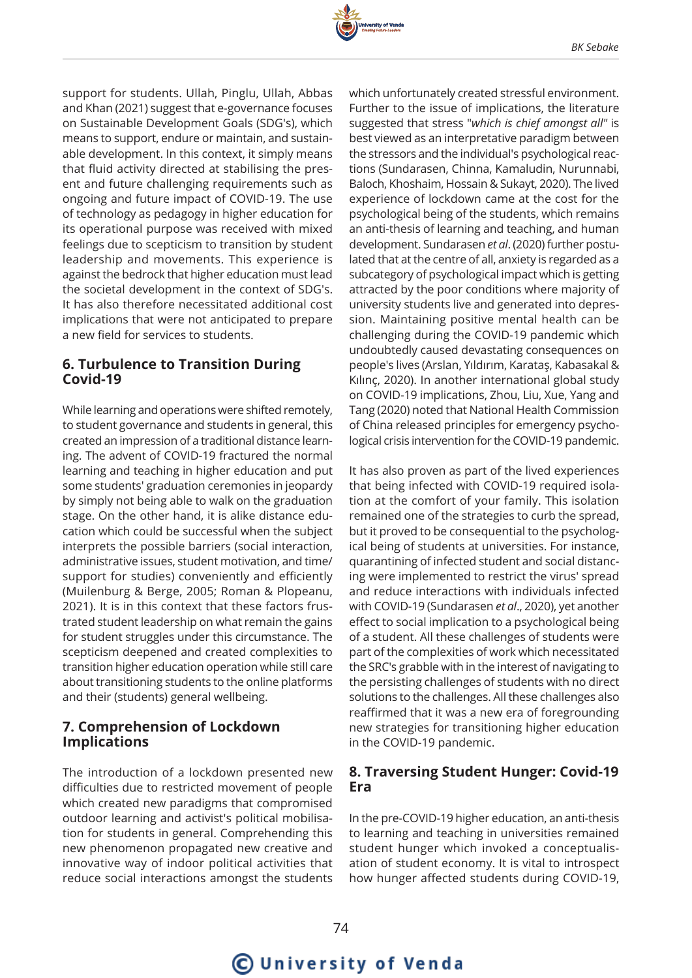

support for students. Ullah, Pinglu, Ullah, Abbas and Khan (2021) suggest that e-governance focuses on Sustainable Development Goals (SDG's), which means to support, endure or maintain, and sustainable development. In this context, it simply means that fluid activity directed at stabilising the present and future challenging requirements such as ongoing and future impact of COVID-19. The use of technology as pedagogy in higher education for its operational purpose was received with mixed feelings due to scepticism to transition by student leadership and movements. This experience is against the bedrock that higher education must lead the societal development in the context of SDG's. It has also therefore necessitated additional cost implications that were not anticipated to prepare a new field for services to students.

#### **6. Turbulence to Transition During Covid-19**

While learning and operations were shifted remotely, to student governance and students in general, this created an impression of a traditional distance learning. The advent of COVID-19 fractured the normal learning and teaching in higher education and put some students' graduation ceremonies in jeopardy by simply not being able to walk on the graduation stage. On the other hand, it is alike distance education which could be successful when the subject interprets the possible barriers (social interaction, administrative issues, student motivation, and time/ support for studies) conveniently and efficiently (Muilenburg & Berge, 2005; Roman & Plopeanu, 2021). It is in this context that these factors frustrated student leadership on what remain the gains for student struggles under this circumstance. The scepticism deepened and created complexities to transition higher education operation while still care about transitioning students to the online platforms and their (students) general wellbeing.

#### **7. Comprehension of Lockdown Implications**

The introduction of a lockdown presented new difficulties due to restricted movement of people which created new paradigms that compromised outdoor learning and activist's political mobilisation for students in general. Comprehending this new phenomenon propagated new creative and innovative way of indoor political activities that reduce social interactions amongst the students

which unfortunately created stressful environment. Further to the issue of implications, the literature suggested that stress "*which is chief amongst all"* is best viewed as an interpretative paradigm between the stressors and the individual's psychological reactions (Sundarasen, Chinna, Kamaludin, Nurunnabi, Baloch, Khoshaim, Hossain & Sukayt, 2020). The lived experience of lockdown came at the cost for the psychological being of the students, which remains an anti-thesis of learning and teaching, and human development. Sundarasen *et al*. (2020) further postulated that at the centre of all, anxiety is regarded as a subcategory of psychological impact which is getting attracted by the poor conditions where majority of university students live and generated into depression. Maintaining positive mental health can be challenging during the COVID-19 pandemic which undoubtedly caused devastating consequences on people's lives (Arslan, Yıldırım, Karataş, Kabasakal & Kılınç, 2020). In another international global study on COVID-19 implications, Zhou, Liu, Xue, Yang and Tang (2020) noted that National Health Commission of China released principles for emergency psychological crisis intervention for the COVID-19 pandemic.

It has also proven as part of the lived experiences that being infected with COVID-19 required isolation at the comfort of your family. This isolation remained one of the strategies to curb the spread, but it proved to be consequential to the psychological being of students at universities. For instance, quarantining of infected student and social distancing were implemented to restrict the virus' spread and reduce interactions with individuals infected with COVID-19 (Sundarasen *et al*., 2020), yet another effect to social implication to a psychological being of a student. All these challenges of students were part of the complexities of work which necessitated the SRC's grabble with in the interest of navigating to the persisting challenges of students with no direct solutions to the challenges. All these challenges also reaffirmed that it was a new era of foregrounding new strategies for transitioning higher education in the COVID-19 pandemic.

#### **8. Traversing Student Hunger: Covid-19 Era**

In the pre-COVID-19 higher education, an anti-thesis to learning and teaching in universities remained student hunger which invoked a conceptualisation of student economy. It is vital to introspect how hunger affected students during COVID-19,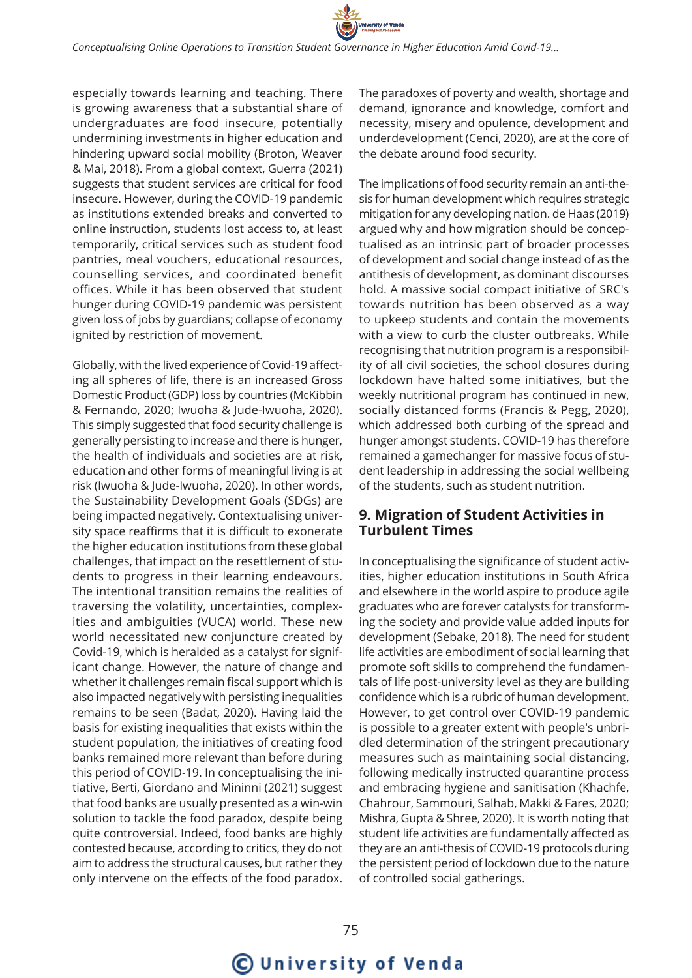

especially towards learning and teaching. There is growing awareness that a substantial share of undergraduates are food insecure, potentially undermining investments in higher education and hindering upward social mobility (Broton, Weaver & Mai, 2018). From a global context, Guerra (2021) suggests that student services are critical for food insecure. However, during the COVID-19 pandemic as institutions extended breaks and converted to online instruction, students lost access to, at least temporarily, critical services such as student food pantries, meal vouchers, educational resources, counselling services, and coordinated benefit offices. While it has been observed that student hunger during COVID-19 pandemic was persistent given loss of jobs by guardians; collapse of economy ignited by restriction of movement.

Globally, with the lived experience of Covid-19 affecting all spheres of life, there is an increased Gross Domestic Product (GDP) loss by countries (McKibbin & Fernando, 2020; Iwuoha & Jude-Iwuoha, 2020). This simply suggested that food security challenge is generally persisting to increase and there is hunger, the health of individuals and societies are at risk, education and other forms of meaningful living is at risk (Iwuoha & Jude-Iwuoha, 2020). In other words, the Sustainability Development Goals (SDGs) are being impacted negatively. Contextualising university space reaffirms that it is difficult to exonerate the higher education institutions from these global challenges, that impact on the resettlement of students to progress in their learning endeavours. The intentional transition remains the realities of traversing the volatility, uncertainties, complexities and ambiguities (VUCA) world. These new world necessitated new conjuncture created by Covid-19, which is heralded as a catalyst for significant change. However, the nature of change and whether it challenges remain fiscal support which is also impacted negatively with persisting inequalities remains to be seen (Badat, 2020). Having laid the basis for existing inequalities that exists within the student population, the initiatives of creating food banks remained more relevant than before during this period of COVID-19. In conceptualising the initiative, Berti, Giordano and Mininni (2021) suggest that food banks are usually presented as a win-win solution to tackle the food paradox, despite being quite controversial. Indeed, food banks are highly contested because, according to critics, they do not aim to address the structural causes, but rather they only intervene on the effects of the food paradox. The paradoxes of poverty and wealth, shortage and demand, ignorance and knowledge, comfort and necessity, misery and opulence, development and underdevelopment (Cenci, 2020), are at the core of the debate around food security.

The implications of food security remain an anti-thesis for human development which requires strategic mitigation for any developing nation. de Haas (2019) argued why and how migration should be conceptualised as an intrinsic part of broader processes of development and social change instead of as the antithesis of development, as dominant discourses hold. A massive social compact initiative of SRC's towards nutrition has been observed as a way to upkeep students and contain the movements with a view to curb the cluster outbreaks. While recognising that nutrition program is a responsibility of all civil societies, the school closures during lockdown have halted some initiatives, but the weekly nutritional program has continued in new, socially distanced forms (Francis & Pegg, 2020), which addressed both curbing of the spread and hunger amongst students. COVID-19 has therefore remained a gamechanger for massive focus of student leadership in addressing the social wellbeing of the students, such as student nutrition.

#### **9. Migration of Student Activities in Turbulent Times**

In conceptualising the significance of student activities, higher education institutions in South Africa and elsewhere in the world aspire to produce agile graduates who are forever catalysts for transforming the society and provide value added inputs for development (Sebake, 2018). The need for student life activities are embodiment of social learning that promote soft skills to comprehend the fundamentals of life post-university level as they are building confidence which is a rubric of human development. However, to get control over COVID-19 pandemic is possible to a greater extent with people's unbridled determination of the stringent precautionary measures such as maintaining social distancing, following medically instructed quarantine process and embracing hygiene and sanitisation (Khachfe, Chahrour, Sammouri, Salhab, Makki & Fares, 2020; Mishra, Gupta & Shree, 2020). It is worth noting that student life activities are fundamentally affected as they are an anti-thesis of COVID-19 protocols during the persistent period of lockdown due to the nature of controlled social gatherings.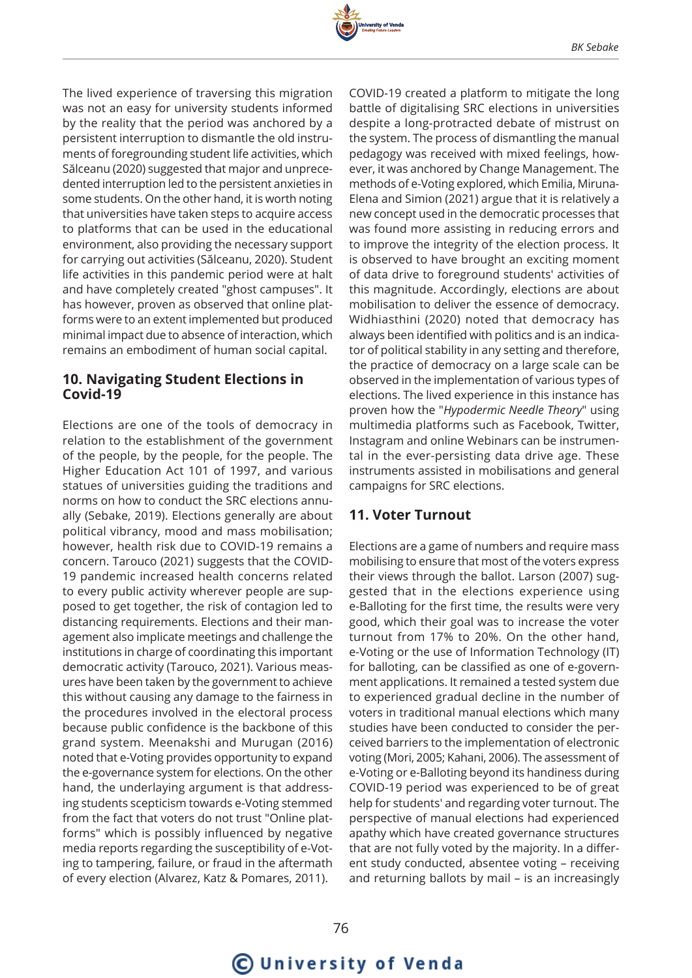

The lived experience of traversing this migration was not an easy for university students informed by the reality that the period was anchored by a persistent interruption to dismantle the old instruments of foregrounding student life activities, which Sălceanu (2020) suggested that major and unprecedented interruption led to the persistent anxieties in some students. On the other hand, it is worth noting that universities have taken steps to acquire access to platforms that can be used in the educational environment, also providing the necessary support for carrying out activities (Sălceanu, 2020). Student life activities in this pandemic period were at halt and have completely created "ghost campuses". It has however, proven as observed that online platforms were to an extent implemented but produced minimal impact due to absence of interaction, which remains an embodiment of human social capital.

#### **10. Navigating Student Elections in Covid-19**

Elections are one of the tools of democracy in relation to the establishment of the government of the people, by the people, for the people. The Higher Education Act 101 of 1997, and various statues of universities guiding the traditions and norms on how to conduct the SRC elections annually (Sebake, 2019). Elections generally are about political vibrancy, mood and mass mobilisation; however, health risk due to COVID-19 remains a concern. Tarouco (2021) suggests that the COVID-19 pandemic increased health concerns related to every public activity wherever people are supposed to get together, the risk of contagion led to distancing requirements. Elections and their management also implicate meetings and challenge the institutions in charge of coordinating this important democratic activity (Tarouco, 2021). Various measures have been taken by the government to achieve this without causing any damage to the fairness in the procedures involved in the electoral process because public confidence is the backbone of this grand system. Meenakshi and Murugan (2016) noted that e-Voting provides opportunity to expand the e-governance system for elections. On the other hand, the underlaying argument is that addressing students scepticism towards e-Voting stemmed from the fact that voters do not trust "Online platforms" which is possibly influenced by negative media reports regarding the susceptibility of e-Voting to tampering, failure, or fraud in the aftermath of every election (Alvarez, Katz & Pomares, 2011).

COVID-19 created a platform to mitigate the long battle of digitalising SRC elections in universities despite a long-protracted debate of mistrust on the system. The process of dismantling the manual pedagogy was received with mixed feelings, however, it was anchored by Change Management. The methods of e-Voting explored, which Emilia, Miruna-Elena and Simion (2021) argue that it is relatively a new concept used in the democratic processes that was found more assisting in reducing errors and to improve the integrity of the election process. It is observed to have brought an exciting moment of data drive to foreground students' activities of this magnitude. Accordingly, elections are about mobilisation to deliver the essence of democracy. Widhiasthini (2020) noted that democracy has always been identified with politics and is an indicator of political stability in any setting and therefore, the practice of democracy on a large scale can be observed in the implementation of various types of elections. The lived experience in this instance has proven how the "*Hypodermic Needle Theory*" using multimedia platforms such as Facebook, Twitter, Instagram and online Webinars can be instrumental in the ever-persisting data drive age. These instruments assisted in mobilisations and general campaigns for SRC elections.

#### **11. Voter Turnout**

Elections are a game of numbers and require mass mobilising to ensure that most of the voters express their views through the ballot. Larson (2007) suggested that in the elections experience using e-Balloting for the first time, the results were very good, which their goal was to increase the voter turnout from 17% to 20%. On the other hand, e-Voting or the use of Information Technology (IT) for balloting, can be classified as one of e-government applications. It remained a tested system due to experienced gradual decline in the number of voters in traditional manual elections which many studies have been conducted to consider the perceived barriers to the implementation of electronic voting (Mori, 2005; Kahani, 2006). The assessment of e-Voting or e-Balloting beyond its handiness during COVID-19 period was experienced to be of great help for students' and regarding voter turnout. The perspective of manual elections had experienced apathy which have created governance structures that are not fully voted by the majority. In a different study conducted, absentee voting – receiving and returning ballots by mail – is an increasingly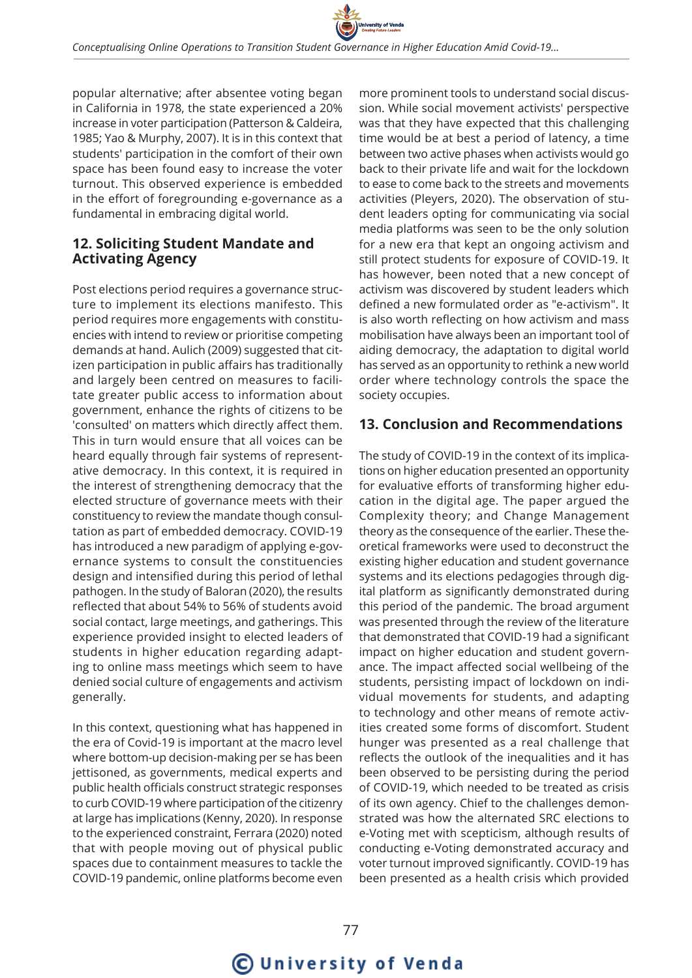

popular alternative; after absentee voting began in California in 1978, the state experienced a 20% increase in voter participation (Patterson & Caldeira, 1985; Yao & Murphy, 2007). It is in this context that students' participation in the comfort of their own space has been found easy to increase the voter turnout. This observed experience is embedded in the effort of foregrounding e-governance as a fundamental in embracing digital world.

## **12. Soliciting Student Mandate and Activating Agency**

Post elections period requires a governance structure to implement its elections manifesto. This period requires more engagements with constituencies with intend to review or prioritise competing demands at hand. Aulich (2009) suggested that citizen participation in public affairs has traditionally and largely been centred on measures to facilitate greater public access to information about government, enhance the rights of citizens to be 'consulted' on matters which directly affect them. This in turn would ensure that all voices can be heard equally through fair systems of representative democracy. In this context, it is required in the interest of strengthening democracy that the elected structure of governance meets with their constituency to review the mandate though consultation as part of embedded democracy. COVID-19 has introduced a new paradigm of applying e-governance systems to consult the constituencies design and intensified during this period of lethal pathogen. In the study of Baloran (2020), the results reflected that about 54% to 56% of students avoid social contact, large meetings, and gatherings. This experience provided insight to elected leaders of students in higher education regarding adapting to online mass meetings which seem to have denied social culture of engagements and activism generally.

In this context, questioning what has happened in the era of Covid-19 is important at the macro level where bottom-up decision-making per se has been jettisoned, as governments, medical experts and public health officials construct strategic responses to curb COVID-19 where participation of the citizenry at large has implications (Kenny, 2020). In response to the experienced constraint, Ferrara (2020) noted that with people moving out of physical public spaces due to containment measures to tackle the COVID-19 pandemic, online platforms become even

more prominent tools to understand social discussion. While social movement activists' perspective was that they have expected that this challenging time would be at best a period of latency, a time between two active phases when activists would go back to their private life and wait for the lockdown to ease to come back to the streets and movements activities (Pleyers, 2020). The observation of student leaders opting for communicating via social media platforms was seen to be the only solution for a new era that kept an ongoing activism and still protect students for exposure of COVID-19. It has however, been noted that a new concept of activism was discovered by student leaders which defined a new formulated order as "e-activism". It is also worth reflecting on how activism and mass mobilisation have always been an important tool of aiding democracy, the adaptation to digital world has served as an opportunity to rethink a new world order where technology controls the space the society occupies.

#### **13. Conclusion and Recommendations**

The study of COVID-19 in the context of its implications on higher education presented an opportunity for evaluative efforts of transforming higher education in the digital age. The paper argued the Complexity theory; and Change Management theory as the consequence of the earlier. These theoretical frameworks were used to deconstruct the existing higher education and student governance systems and its elections pedagogies through digital platform as significantly demonstrated during this period of the pandemic. The broad argument was presented through the review of the literature that demonstrated that COVID-19 had a significant impact on higher education and student governance. The impact affected social wellbeing of the students, persisting impact of lockdown on individual movements for students, and adapting to technology and other means of remote activities created some forms of discomfort. Student hunger was presented as a real challenge that reflects the outlook of the inequalities and it has been observed to be persisting during the period of COVID-19, which needed to be treated as crisis of its own agency. Chief to the challenges demonstrated was how the alternated SRC elections to e-Voting met with scepticism, although results of conducting e-Voting demonstrated accuracy and voter turnout improved significantly. COVID-19 has been presented as a health crisis which provided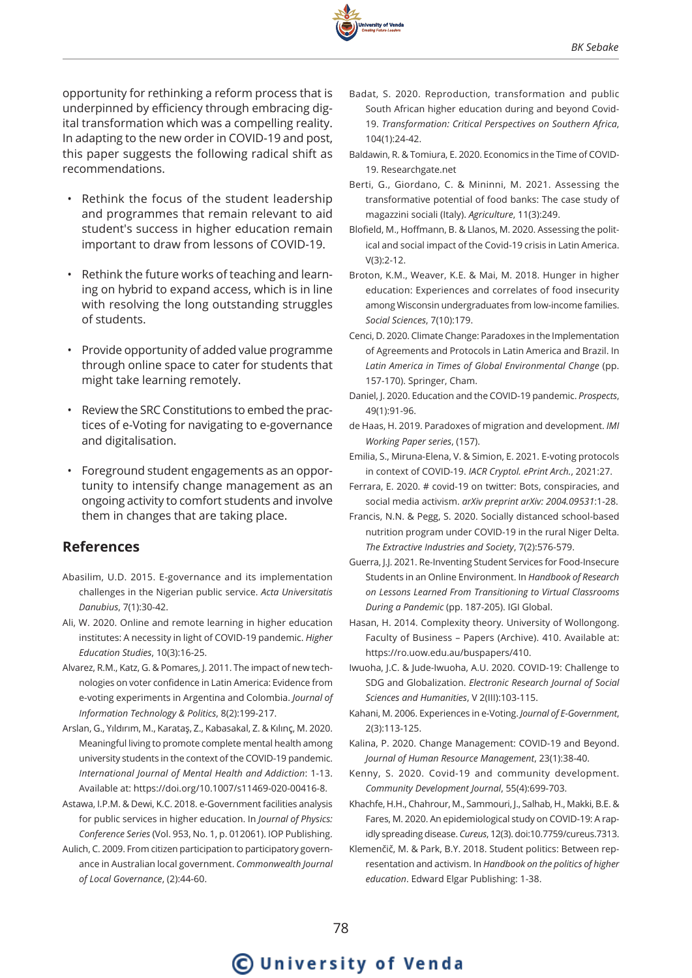

opportunity for rethinking a reform process that is underpinned by efficiency through embracing digital transformation which was a compelling reality. In adapting to the new order in COVID-19 and post, this paper suggests the following radical shift as recommendations.

- Rethink the focus of the student leadership and programmes that remain relevant to aid student's success in higher education remain important to draw from lessons of COVID-19.
- Rethink the future works of teaching and learning on hybrid to expand access, which is in line with resolving the long outstanding struggles of students.
- Provide opportunity of added value programme through online space to cater for students that might take learning remotely.
- Review the SRC Constitutions to embed the practices of e-Voting for navigating to e-governance and digitalisation.
- Foreground student engagements as an opportunity to intensify change management as an ongoing activity to comfort students and involve them in changes that are taking place.

#### **References**

- Abasilim, U.D. 2015. E-governance and its implementation challenges in the Nigerian public service. *Acta Universitatis Danubius*, 7(1):30-42.
- Ali, W. 2020. Online and remote learning in higher education institutes: A necessity in light of COVID-19 pandemic. *Higher Education Studies*, 10(3):16-25.
- Alvarez, R.M., Katz, G. & Pomares, J. 2011. The impact of new technologies on voter confidence in Latin America: Evidence from e-voting experiments in Argentina and Colombia. *Journal of Information Technology & Politics*, 8(2):199-217.
- Arslan, G., Yıldırım, M., Karataş, Z., Kabasakal, Z. & Kılınç, M. 2020. Meaningful living to promote complete mental health among university students in the context of the COVID-19 pandemic. *International Journal of Mental Health and Addiction*: 1-13. Available at: https://doi.org/10.1007/s11469-020-00416-8.
- Astawa, I.P.M. & Dewi, K.C. 2018. e-Government facilities analysis for public services in higher education. In *Journal of Physics: Conference Series* (Vol. 953, No. 1, p. 012061). IOP Publishing.
- Aulich, C. 2009. From citizen participation to participatory governance in Australian local government. *Commonwealth Journal of Local Governance*, (2):44-60.
- Badat, S. 2020. Reproduction, transformation and public South African higher education during and beyond Covid-19. *Transformation: Critical Perspectives on Southern Africa*, 104(1):24-42.
- Baldawin, R. & Tomiura, E. 2020. Economics in the Time of COVID-19. Researchgate.net
- Berti, G., Giordano, C. & Mininni, M. 2021. Assessing the transformative potential of food banks: The case study of magazzini sociali (Italy). *Agriculture*, 11(3):249.
- Blofield, M., Hoffmann, B. & Llanos, M. 2020. Assessing the political and social impact of the Covid-19 crisis in Latin America. V(3):2-12.
- Broton, K.M., Weaver, K.E. & Mai, M. 2018. Hunger in higher education: Experiences and correlates of food insecurity among Wisconsin undergraduates from low-income families. *Social Sciences*, 7(10):179.
- Cenci, D. 2020. Climate Change: Paradoxes in the Implementation of Agreements and Protocols in Latin America and Brazil. In *Latin America in Times of Global Environmental Change* (pp. 157-170). Springer, Cham.
- Daniel, J. 2020. Education and the COVID-19 pandemic. *Prospects*, 49(1):91-96.
- de Haas, H. 2019. Paradoxes of migration and development. *IMI Working Paper series*, (157).
- Emilia, S., Miruna-Elena, V. & Simion, E. 2021. E-voting protocols in context of COVID-19. *IACR Cryptol. ePrint Arch.*, 2021:27.
- Ferrara, E. 2020. # covid-19 on twitter: Bots, conspiracies, and social media activism. *arXiv preprint arXiv: 2004.09531*:1-28.
- Francis, N.N. & Pegg, S. 2020. Socially distanced school-based nutrition program under COVID-19 in the rural Niger Delta. *The Extractive Industries and Society*, 7(2):576-579.
- Guerra, J.J. 2021. Re-Inventing Student Services for Food-Insecure Students in an Online Environment. In *Handbook of Research on Lessons Learned From Transitioning to Virtual Classrooms During a Pandemic* (pp. 187-205). IGI Global.
- Hasan, H. 2014. Complexity theory. University of Wollongong. Faculty of Business – Papers (Archive). 410. Available at: https://ro.uow.edu.au/buspapers/410.
- Iwuoha, J.C. & Jude-Iwuoha, A.U. 2020. COVID-19: Challenge to SDG and Globalization. *Electronic Research Journal of Social Sciences and Humanities*, V 2(III):103-115.
- Kahani, M. 2006. Experiences in e-Voting. *Journal of E-Government*, 2(3):113-125.
- Kalina, P. 2020. Change Management: COVID-19 and Beyond. *Journal of Human Resource Management*, 23(1):38-40.
- Kenny, S. 2020. Covid-19 and community development. *Community Development Journal*, 55(4):699-703.
- Khachfe, H.H., Chahrour, M., Sammouri, J., Salhab, H., Makki, B.E. & Fares, M. 2020. An epidemiological study on COVID-19: A rapidly spreading disease. *Cureus*, 12(3). doi:10.7759/cureus.7313.
- Klemenčič, M. & Park, B.Y. 2018. Student politics: Between representation and activism. In *Handbook on the politics of higher education*. Edward Elgar Publishing: 1-38.

# **C** University of Venda